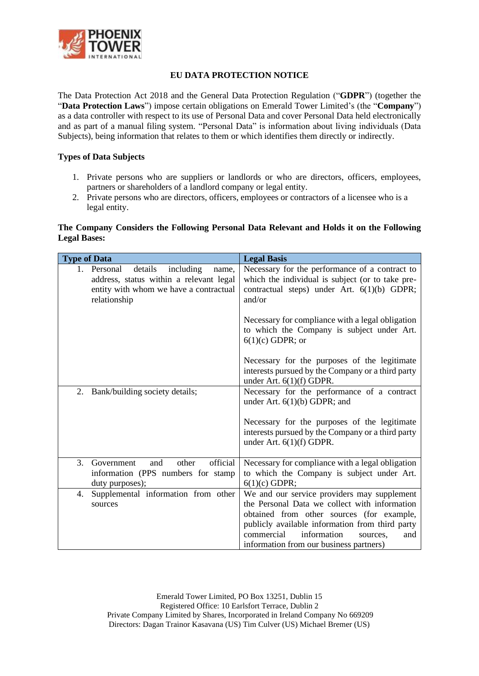

# **EU DATA PROTECTION NOTICE**

The Data Protection Act 2018 and the General Data Protection Regulation ("**GDPR**") (together the "**Data Protection Laws**") impose certain obligations on Emerald Tower Limited's (the "**Company**") as a data controller with respect to its use of Personal Data and cover Personal Data held electronically and as part of a manual filing system. "Personal Data" is information about living individuals (Data Subjects), being information that relates to them or which identifies them directly or indirectly.

### **Types of Data Subjects**

- 1. Private persons who are suppliers or landlords or who are directors, officers, employees, partners or shareholders of a landlord company or legal entity.
- 2. Private persons who are directors, officers, employees or contractors of a licensee who is a legal entity.

### **The Company Considers the Following Personal Data Relevant and Holds it on the Following Legal Bases:**

| <b>Type of Data</b>                                                                                                                               | <b>Legal Basis</b>                                                                                                                                                                                                                                                                      |
|---------------------------------------------------------------------------------------------------------------------------------------------------|-----------------------------------------------------------------------------------------------------------------------------------------------------------------------------------------------------------------------------------------------------------------------------------------|
| details<br>1. Personal<br>including<br>name.<br>address, status within a relevant legal<br>entity with whom we have a contractual<br>relationship | Necessary for the performance of a contract to<br>which the individual is subject (or to take pre-<br>contractual steps) under Art. 6(1)(b) GDPR;<br>and/or                                                                                                                             |
|                                                                                                                                                   | Necessary for compliance with a legal obligation<br>to which the Company is subject under Art.<br>$6(1)(c)$ GDPR; or                                                                                                                                                                    |
|                                                                                                                                                   | Necessary for the purposes of the legitimate<br>interests pursued by the Company or a third party<br>under Art. 6(1)(f) GDPR.                                                                                                                                                           |
| Bank/building society details;<br>2.                                                                                                              | Necessary for the performance of a contract<br>under Art. $6(1)(b)$ GDPR; and                                                                                                                                                                                                           |
|                                                                                                                                                   | Necessary for the purposes of the legitimate<br>interests pursued by the Company or a third party<br>under Art. $6(1)(f)$ GDPR.                                                                                                                                                         |
| 3.<br>official<br>other<br>Government<br>and<br>information (PPS numbers for stamp<br>duty purposes);                                             | Necessary for compliance with a legal obligation<br>to which the Company is subject under Art.<br>$6(1)(c)$ GDPR;                                                                                                                                                                       |
| Supplemental information from other<br>4.<br>sources                                                                                              | We and our service providers may supplement<br>the Personal Data we collect with information<br>obtained from other sources (for example,<br>publicly available information from third party<br>commercial<br>information<br>and<br>sources,<br>information from our business partners) |

Emerald Tower Limited, PO Box 13251, Dublin 15 Registered Office: 10 Earlsfort Terrace, Dublin 2 Private Company Limited by Shares, Incorporated in Ireland Company No 669209 Directors: Dagan Trainor Kasavana (US) Tim Culver (US) Michael Bremer (US)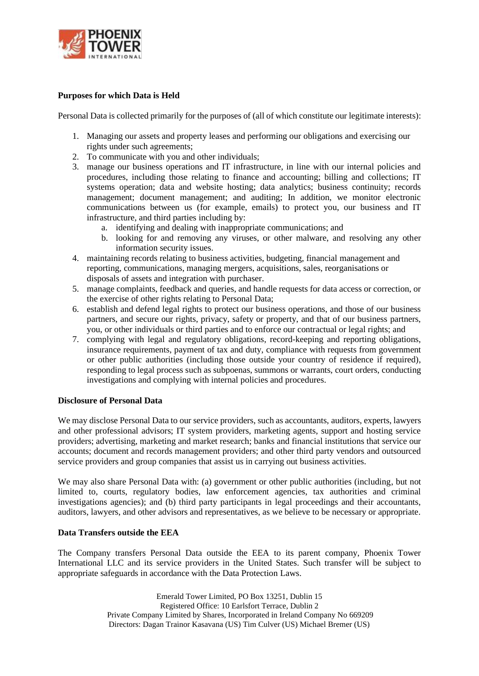

# **Purposes for which Data is Held**

Personal Data is collected primarily for the purposes of (all of which constitute our legitimate interests):

- 1. Managing our assets and property leases and performing our obligations and exercising our rights under such agreements;
- 2. To communicate with you and other individuals;
- 3. manage our business operations and IT infrastructure, in line with our internal policies and procedures, including those relating to finance and accounting; billing and collections; IT systems operation; data and website hosting; data analytics; business continuity; records management; document management; and auditing; In addition, we monitor electronic communications between us (for example, emails) to protect you, our business and IT infrastructure, and third parties including by:
	- a. identifying and dealing with inappropriate communications; and
	- b. looking for and removing any viruses, or other malware, and resolving any other information security issues.
- 4. maintaining records relating to business activities, budgeting, financial management and reporting, communications, managing mergers, acquisitions, sales, reorganisations or disposals of assets and integration with purchaser.
- 5. manage complaints, feedback and queries, and handle requests for data access or correction, or the exercise of other rights relating to Personal Data;
- 6. establish and defend legal rights to protect our business operations, and those of our business partners, and secure our rights, privacy, safety or property, and that of our business partners, you, or other individuals or third parties and to enforce our contractual or legal rights; and
- 7. complying with legal and regulatory obligations, record-keeping and reporting obligations, insurance requirements, payment of tax and duty, compliance with requests from government or other public authorities (including those outside your country of residence if required), responding to legal process such as subpoenas, summons or warrants, court orders, conducting investigations and complying with internal policies and procedures.

#### **Disclosure of Personal Data**

We may disclose Personal Data to our service providers, such as accountants, auditors, experts, lawyers and other professional advisors; IT system providers, marketing agents, support and hosting service providers; advertising, marketing and market research; banks and financial institutions that service our accounts; document and records management providers; and other third party vendors and outsourced service providers and group companies that assist us in carrying out business activities.

We may also share Personal Data with: (a) government or other public authorities (including, but not limited to, courts, regulatory bodies, law enforcement agencies, tax authorities and criminal investigations agencies); and (b) third party participants in legal proceedings and their accountants, auditors, lawyers, and other advisors and representatives, as we believe to be necessary or appropriate.

### **Data Transfers outside the EEA**

The Company transfers Personal Data outside the EEA to its parent company, Phoenix Tower International LLC and its service providers in the United States. Such transfer will be subject to appropriate safeguards in accordance with the Data Protection Laws.

> Emerald Tower Limited, PO Box 13251, Dublin 15 Registered Office: 10 Earlsfort Terrace, Dublin 2 Private Company Limited by Shares, Incorporated in Ireland Company No 669209 Directors: Dagan Trainor Kasavana (US) Tim Culver (US) Michael Bremer (US)